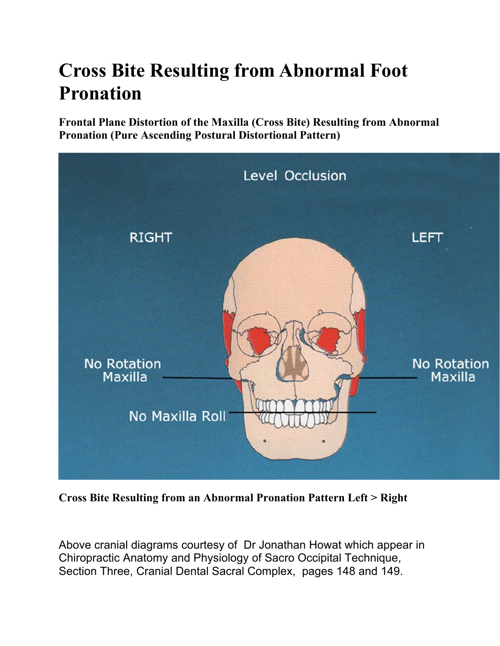## **Cross Bite Resulting from Abnormal Foot Pronation**

**Frontal Plane Distortion of the Maxilla (Cross Bite) Resulting from Abnormal Pronation (Pure Ascending Postural Distortional Pattern)** 



**Cross Bite Resulting from an Abnormal Pronation Pattern Left > Right** 

Above cranial diagrams courtesy of Dr Jonathan Howat which appear in Chiropractic Anatomy and Physiology of Sacro Occipital Technique, Section Three, Cranial Dental Sacral Complex, pages 148 and 149.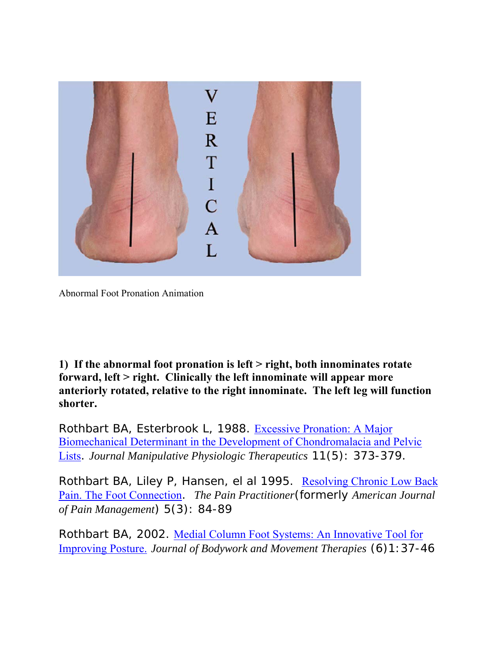

Abnormal Foot Pronation Animation

**1) If the abnormal foot pronation is left > right, both innominates rotate forward, left > right. Clinically the left innominate will appear more anteriorly rotated, relative to the right innominate. The left leg will function shorter.** 

Rothbart BA, Esterbrook L, 1988. Excessive Pronation: A Major Biomechanical Determinant in the Development of Chondromalacia and Pelvic Lists. *Journal Manipulative Physiologic Therapeutics* 11(5): 373-379.

Rothbart BA, Liley P, Hansen, el al 1995. Resolving Chronic Low Back Pain. The Foot Connection. *The Pain Practitioner*(formerly *American Journal of Pain Management*) 5(3): 84-89

Rothbart BA, 2002. Medial Column Foot Systems: An Innovative Tool for Improving Posture. *Journal of Bodywork and Movement Therapies* (6)1:37-46